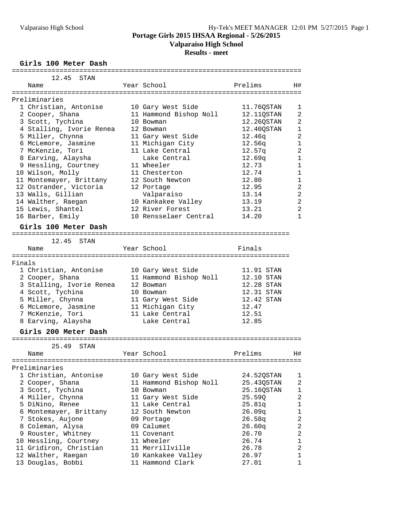**Valparaiso High School**

#### **Results - meet**

**Girls 100 Meter Dash**

|        | 12.45<br>STAN            |                              |                            |                         |
|--------|--------------------------|------------------------------|----------------------------|-------------------------|
|        | Name                     | Year School                  | Prelims                    | H#                      |
|        | ================         | ============================ |                            |                         |
|        | Preliminaries            |                              |                            |                         |
|        | 1 Christian, Antonise    | 10 Gary West Side            | 11.76QSTAN                 | 1                       |
|        | 2 Cooper, Shana          | 11 Hammond Bishop Noll       | 12.110STAN                 | $\overline{a}$          |
|        | 3 Scott, Tychina         | 10 Bowman                    | 12.26QSTAN                 | $\overline{2}$          |
|        | 4 Stalling, Ivorie Renea | 12 Bowman                    | 12.40QSTAN                 | 1                       |
|        | 5 Miller, Chynna         | 11 Gary West Side            | 12.46q                     | $\overline{2}$          |
|        | 6 McLemore, Jasmine      | 11 Michigan City             | 12.56q                     | $\mathbf{1}$            |
|        | 7 McKenzie, Tori         | 11 Lake Central              | 12.57q                     | $\overline{a}$          |
|        | 8 Earving, Alaysha       | Lake Central                 | 12.69q                     | $\mathbf{1}$            |
|        | 9 Hessling, Courtney     | 11 Wheeler                   | 12.73                      | $\mathbf{1}$            |
|        | 10 Wilson, Molly         | 11 Chesterton                | 12.74                      | $\mathbf{1}$            |
|        | 11 Montemayer, Brittany  | 12 South Newton              | 12.80                      | 1                       |
|        | 12 Ostrander, Victoria   | 12 Portage                   | 12.95                      | 2                       |
|        | 13 Walls, Gillian        | Valparaiso                   | 13.14                      | $\overline{2}$          |
|        | 14 Walther, Raegan       | 10 Kankakee Valley           | 13.19                      | $\overline{2}$          |
|        | 15 Lewis, Shantel        | 12 River Forest              | 13.21                      | $\overline{a}$          |
|        | 16 Barber, Emily         | 10 Rensselaer Central        | 14.20                      | $\mathbf{1}$            |
|        |                          |                              |                            |                         |
|        | Girls 100 Meter Dash     |                              |                            |                         |
|        |                          |                              | ========================== |                         |
|        | 12.45<br>STAN            |                              |                            |                         |
|        | Name                     | Year School                  | Finals                     |                         |
|        |                          |                              |                            |                         |
| Finals |                          |                              |                            |                         |
|        | 1 Christian, Antonise    | 10 Gary West Side            | 11.91 STAN                 |                         |
|        | 2 Cooper, Shana          | 11 Hammond Bishop Noll       | 12.10 STAN                 |                         |
|        | 3 Stalling, Ivorie Renea | 12 Bowman                    | 12.28 STAN                 |                         |
|        | 4 Scott, Tychina         | 10 Bowman                    | 12.31 STAN                 |                         |
|        | 5 Miller, Chynna         | 11 Gary West Side            | 12.42 STAN                 |                         |
|        | 6 McLemore, Jasmine      | 11 Michigan City             | 12.47                      |                         |
|        | 7 McKenzie, Tori         | 11 Lake Central              | 12.51                      |                         |
|        | 8 Earving, Alaysha       | Lake Central                 | 12.85                      |                         |
|        | Girls 200 Meter Dash     |                              |                            |                         |
|        | ======================== |                              |                            |                         |
|        | 25.49<br>STAN            |                              |                            |                         |
|        | Name                     | Year School                  | Prelims                    | H#                      |
|        | ====================     | -------------------          |                            |                         |
|        | Preliminaries            |                              |                            |                         |
|        | 1 Christian, Antonise    | 10 Gary West Side            | 24.52QSTAN                 | 1                       |
|        | 2 Cooper, Shana          | 11 Hammond Bishop Noll       | 25.43QSTAN                 | $\overline{c}$          |
|        | 3 Scott, Tychina         | 10 Bowman                    | 25.16QSTAN                 | $\mathbf 1$             |
|        | 4 Miller, Chynna         | 11 Gary West Side            | 25.59Q                     | 2                       |
|        | 5 DiNino, Renee          | 11 Lake Central              | 25.81q                     | $\mathbf 1$             |
|        | 6 Montemayer, Brittany   | 12 South Newton              | 26.09q                     | $\mathbf{1}$            |
|        | 7 Stokes, Aujone         | 09 Portage                   | 26.58q                     | 2                       |
|        | 8 Coleman, Alysa         | 09 Calumet                   | 26.60q                     | $\overline{\mathbf{c}}$ |
|        | 9 Rouster, Whitney       | 11 Covenant                  | 26.70                      | $\overline{c}$          |
|        | 10 Hessling, Courtney    | 11 Wheeler                   | 26.74                      | $\mathbf 1$             |
|        | 11 Gridiron, Christian   | 11 Merrillville              | 26.78                      | $\overline{a}$          |
|        | 12 Walther, Raegan       | 10 Kankakee Valley           | 26.97                      | $\mathbf{1}$            |
|        | 13 Douglas, Bobbi        | 11 Hammond Clark             | 27.01                      | 1                       |
|        |                          |                              |                            |                         |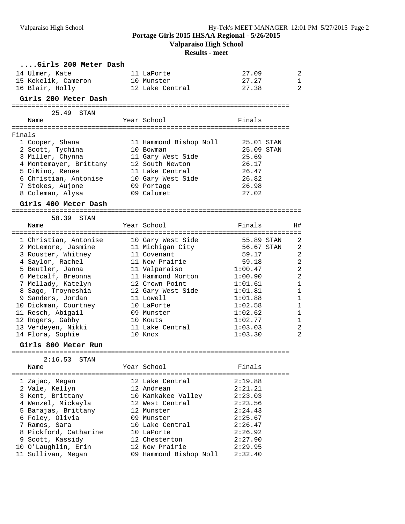**Valparaiso High School**

|        | Girls 200 Meter Dash                             |                          |                    |                              |
|--------|--------------------------------------------------|--------------------------|--------------------|------------------------------|
|        | 14 Ulmer, Kate                                   | 11 LaPorte               | 27.09              | 2                            |
|        | 15 Kekelik, Cameron                              | 10 Munster               | 27.27              | 1                            |
|        | 16 Blair, Holly                                  | 12 Lake Central          | 27.38              | 2                            |
|        | Girls 200 Meter Dash                             |                          |                    |                              |
|        | 25.49<br>STAN                                    |                          |                    |                              |
|        | Name                                             | Year School              | Finals             |                              |
|        |                                                  |                          |                    |                              |
| Finals |                                                  |                          |                    |                              |
|        | 1 Cooper, Shana                                  | 11 Hammond Bishop Noll   | 25.01 STAN         |                              |
|        | 2 Scott, Tychina                                 | 10 Bowman                | 25.09 STAN         |                              |
|        | 3 Miller, Chynna                                 | 11 Gary West Side        | 25.69              |                              |
|        | 4 Montemayer, Brittany                           | 12 South Newton          | 26.17              |                              |
|        | 5 DiNino, Renee                                  | 11 Lake Central          | 26.47              |                              |
|        | 6 Christian, Antonise                            | 10 Gary West Side        | 26.82              |                              |
|        | 7 Stokes, Aujone                                 | 09 Portage<br>09 Calumet | 26.98<br>27.02     |                              |
|        | 8 Coleman, Alysa                                 |                          |                    |                              |
|        | Girls 400 Meter Dash                             |                          |                    |                              |
|        | 58.39 STAN                                       |                          |                    |                              |
|        | Name                                             | Year School              | Finals             | H#                           |
|        | 1 Christian, Antonise                            | 10 Gary West Side        | 55.89 STAN         | $\overline{2}$               |
|        | 2 McLemore, Jasmine             11 Michigan City |                          | 56.67 STAN         | $\overline{a}$               |
|        | 3 Rouster, Whitney                               | 11 Covenant              | 59.17              | $\overline{a}$               |
|        | 4 Saylor, Rachel                                 | 11 New Prairie           | 59.18              | $\overline{a}$               |
|        | 5 Beutler, Janna                                 | 11 Valparaiso            | 1:00.47            | $\overline{a}$               |
|        | 6 Metcalf, Breonna                               | 11 Hammond Morton        | 1:00.90            | $\overline{a}$               |
|        | 7 Mellady, Katelyn                               | 12 Crown Point           | 1:01.61            | $\mathbf{1}$                 |
|        | 8 Sago, Troyneshia                               | 12 Gary West Side        | 1:01.81            | $\mathbf{1}$                 |
|        | 9 Sanders, Jordan                                | 11 Lowell                | 1:01.88            | $\mathbf{1}$                 |
|        | 10 Dickman, Courtney<br>11 Resch, Abigail        | 10 LaPorte<br>09 Munster | 1:02.58<br>1:02.62 | $\mathbf{1}$<br>$\mathbf{1}$ |
|        | 12 Rogers, Gabby                                 | 10 Kouts                 | 1:02.77            | 1                            |
|        | 13 Verdeyen, Nikki                               | 11 Lake Central          | 1:03.03            | $\overline{a}$               |
|        | 14 Flora, Sophie                                 | 10 Knox                  | 1:03.30            | $\overline{2}$               |
|        | Girls 800 Meter Run                              |                          |                    |                              |
|        | $2:16.53$ STAN                                   |                          |                    |                              |
|        | Name                                             | Year School              | Finals             |                              |
|        | 1 Zajac, Megan                                   | 12 Lake Central          | 2:19.88            |                              |
|        | 2 Vale, Kellyn                                   | 12 Andrean               | 2:21.21            |                              |
|        | 3 Kent, Brittany                                 | 10 Kankakee Valley       | 2:23.03            |                              |
|        | 4 Wenzel, Mickayla                               | 12 West Central          | 2:23.56            |                              |
|        | 5 Barajas, Brittany                              | 12 Munster               | 2:24.43            |                              |
|        | 6 Foley, Olivia                                  | 09 Munster               | 2:25.67            |                              |
|        | 7 Ramos, Sara                                    | 10 Lake Central          | 2:26.47            |                              |
|        | 8 Pickford, Catharine                            | 10 LaPorte               | 2:26.92            |                              |
|        | 9 Scott, Kassidy                                 | 12 Chesterton            | 2:27.90            |                              |
|        | 10 O'Laughlin, Erin                              | 12 New Prairie           | 2:29.95            |                              |
|        | 11 Sullivan, Megan                               | 09 Hammond Bishop Noll   | 2:32.40            |                              |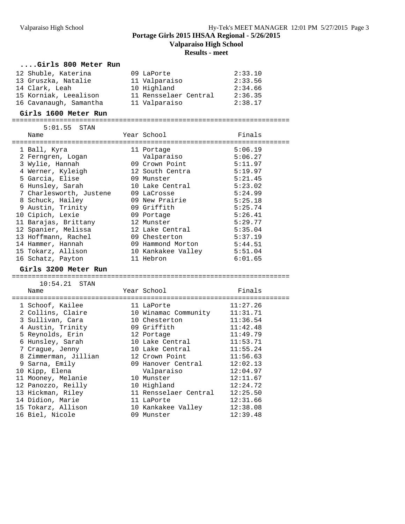**Valparaiso High School**

| Girls 800 Meter Run     |                       |          |
|-------------------------|-----------------------|----------|
| 12 Shuble, Katerina     | 09 LaPorte            | 2:33.10  |
| 13 Gruszka, Natalie     | 11 Valparaiso         | 2:33.56  |
| 14 Clark, Leah          | 10 Highland           | 2:34.66  |
| 15 Korniak, Leealison   | 11 Rensselaer Central | 2:36.35  |
| 16 Cavanaugh, Samantha  | 11 Valparaiso         | 2:38.17  |
|                         |                       |          |
| Girls 1600 Meter Run    |                       |          |
| 5:01.55<br>STAN         |                       |          |
| Name                    | Year School           | Finals   |
|                         |                       |          |
| 1 Ball, Kyra            | 11 Portage            | 5:06.19  |
| 2 Ferngren, Logan       | Valparaiso            | 5:06.27  |
| 3 Wylie, Hannah         | 09 Crown Point        | 5:11.97  |
| 4 Werner, Kyleigh       | 12 South Centra       | 5:19.97  |
| 5 Garcia, Elise         | 09 Munster            | 5:21.45  |
| 6 Hunsley, Sarah        | 10 Lake Central       | 5:23.02  |
| 7 Charlesworth, Justene | 09 LaCrosse           | 5:24.99  |
| 8 Schuck, Hailey        | 09 New Prairie        | 5:25.18  |
| 9 Austin, Trinity       | 09 Griffith           | 5:25.74  |
| 10 Cipich, Lexie        | 09 Portage            | 5:26.41  |
| 11 Barajas, Brittany    | 12 Munster            | 5:29.77  |
| 12 Spanier, Melissa     | 12 Lake Central       | 5:35.04  |
| 13 Hoffmann, Rachel     | 09 Chesterton         | 5:37.19  |
| 14 Hammer, Hannah       | 09 Hammond Morton     | 5:44.51  |
| 15 Tokarz, Allison      | 10 Kankakee Valley    | 5:51.04  |
| 16 Schatz, Payton       | 11 Hebron             | 6:01.65  |
| Girls 3200 Meter Run    |                       |          |
|                         |                       |          |
| 10:54.21 STAN           |                       |          |
| Name                    | Year School           | Finals   |
|                         |                       |          |
| 1 Schoof, Kailee        | 11 LaPorte            | 11:27.26 |
| 2 Collins, Claire       | 10 Winamac Community  | 11:31.71 |
| 3 Sullivan, Cara        | 10 Chesterton         | 11:36.54 |
| 4 Austin, Trinity       | 09 Griffith           | 11:42.48 |
| 5 Reynolds, Erin        | 12 Portage            | 11:49.79 |
| 6 Hunsley, Sarah        | 10 Lake Central       | 11:53.71 |
| 7 Crague, Jenny         | 10 Lake Central       | 11:55.24 |
| 8 Zimmerman, Jillian    | 12 Crown Point        | 11:56.63 |
| 9 Sarna, Emily          | 09 Hanover Central    | 12:02.13 |
| 10 Kipp, Elena          | Valparaiso            | 12:04.97 |
| 11 Mooney, Melanie      | 10 Munster            | 12:11.67 |
| 12 Panozzo, Reilly      | 10 Highland           | 12:24.72 |
| 13 Hickman, Riley       | 11 Rensselaer Central | 12:25.50 |
| 14 Didion, Marie        | 11 LaPorte            | 12:31.66 |
| 15 Tokarz, Allison      | 10 Kankakee Valley    | 12:38.08 |
| 16 Biel, Nicole         | 09 Munster            | 12:39.48 |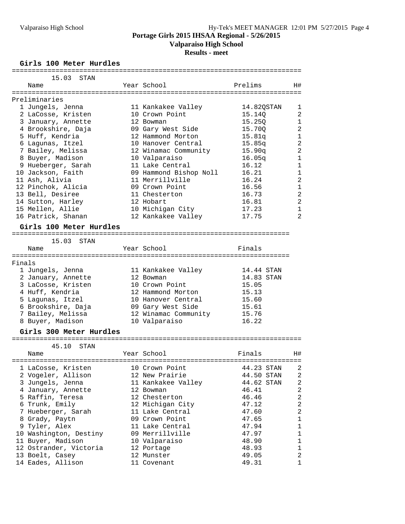**Valparaiso High School**

### **Results - meet**

**Girls 100 Meter Hurdles**

|        | 15.03<br>STAN               |                        |            |                |
|--------|-----------------------------|------------------------|------------|----------------|
|        | Name                        | Year School            | Prelims    | H#             |
|        |                             |                        |            |                |
|        | Preliminaries               |                        |            |                |
|        | 1 Jungels, Jenna            | 11 Kankakee Valley     | 14.82QSTAN | 1              |
|        | 2 LaCosse, Kristen          | 10 Crown Point         | 15.140     | $\overline{2}$ |
|        | 3 January, Annette          | 12 Bowman              | 15.250     | $\mathbf{1}$   |
|        | 4 Brookshire, Daja          | 09 Gary West Side      | 15.70Q     | $\overline{a}$ |
|        | 5 Huff, Kendria             | 12 Hammond Morton      | 15.81q     | $\mathbf{1}$   |
|        | 6 Lagunas, Itzel            | 10 Hanover Central     | 15.85q     | $\overline{a}$ |
|        | 7 Bailey, Melissa           | 12 Winamac Community   | 15.90q     | $\overline{a}$ |
|        | 8 Buyer, Madison            | 10 Valparaiso          | 16.05q     | $\mathbf{1}$   |
|        | 9 Hueberger, Sarah          | 11 Lake Central        | 16.12      | $\mathbf{1}$   |
|        | 10 Jackson, Faith           | 09 Hammond Bishop Noll | 16.21      | $\mathbf{1}$   |
|        | 11 Ash, Alivia              | 11 Merrillville        | 16.24      | 2              |
|        | 12 Pinchok, Alicia          | 09 Crown Point         | 16.56      | $\mathbf{1}$   |
|        | 13 Bell, Desiree            | 11 Chesterton          | 16.73      | $\overline{a}$ |
|        | 14 Sutton, Harley           | 12 Hobart              | 16.81      | $\overline{a}$ |
|        | 15 Mellen, Allie            | 10 Michigan City       | 17.23      | $\mathbf{1}$   |
|        | 16 Patrick, Shanan          | 12 Kankakee Valley     | 17.75      | $\overline{2}$ |
|        | Girls 100 Meter Hurdles     |                        |            |                |
|        | :========================== |                        |            |                |
|        | 15.03<br>STAN               |                        |            |                |
|        | Name                        | Year School            | Finals     |                |
|        | ====================        |                        |            |                |
| Finals |                             |                        |            |                |
|        | 1 Jungels, Jenna            | 11 Kankakee Valley     | 14.44 STAN |                |
|        | 2 January, Annette          | 12 Bowman              | 14.83 STAN |                |
|        | 3 LaCosse, Kristen          | 10 Crown Point         | 15.05      |                |
|        | 4 Huff, Kendria             | 12 Hammond Morton      | 15.13      |                |
|        | 5 Lagunas, Itzel            | 10 Hanover Central     | 15.60      |                |
|        | 6 Brookshire, Daja          | 09 Gary West Side      | 15.61      |                |
|        | 7 Bailey, Melissa           | 12 Winamac Community   | 15.76      |                |
|        | 8 Buyer, Madison            | 10 Valparaiso          | 16.22      |                |
|        | Girls 300 Meter Hurdles     |                        |            |                |
|        |                             |                        |            |                |
|        | 45.10<br>STAN               |                        |            |                |
|        | Name                        | Year School            | Finals     | H#             |
|        | =====================       |                        |            |                |
|        | 1 LaCosse, Kristen          | 10 Crown Point         | 44.23 STAN | 2              |
|        | 2 Vogeler, Allison          | 12 New Prairie         | 44.50 STAN | $\overline{a}$ |
|        | 3 Jungels, Jenna            | 11 Kankakee Valley     | 44.62 STAN | $\sqrt{2}$     |
|        | 4 January, Annette          | 12 Bowman              | 46.41      | $\sqrt{2}$     |
|        | 5 Raffin, Teresa            | 12 Chesterton          | 46.46      | $\sqrt{2}$     |
|        | 6 Trunk, Emily              | 12 Michigan City       | 47.12      | $\overline{c}$ |
|        | 7 Hueberger, Sarah          | 11 Lake Central        | 47.60      | $\overline{2}$ |
|        | 8 Grady, Paytn              | 09 Crown Point         | 47.65      | $1\,$          |
|        | 9 Tyler, Alex               | 11 Lake Central        | 47.94      | $\mathbf 1$    |
|        | 10 Washington, Destiny      | 09 Merrillville        | 47.97      | $\mathbf 1$    |
|        | 11 Buyer, Madison           | 10 Valparaiso          | 48.90      | $\mathbf 1$    |
|        | 12 Ostrander, Victoria      | 12 Portage             | 48.93      | $\mathbf 1$    |
|        | 13 Boelt, Casey             | 12 Munster             | 49.05      | $\overline{a}$ |
|        | 14 Eades, Allison           | 11 Covenant            | 49.31      | $\mathbf 1$    |
|        |                             |                        |            |                |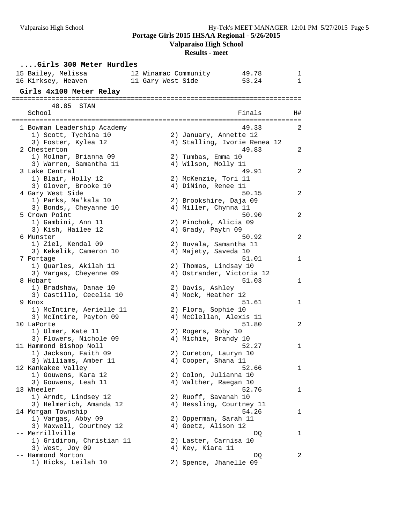**Valparaiso High School**

| Girls 300 Meter Hurdles                             |                   |                                              |                                    |              |
|-----------------------------------------------------|-------------------|----------------------------------------------|------------------------------------|--------------|
| 15 Bailey, Melissa                                  |                   | 12 Winamac Community                         | 49.78                              | ı.           |
| 16 Kirksey, Heaven                                  | 11 Gary West Side |                                              | 53.24                              | $\mathbf{1}$ |
| Girls 4x100 Meter Relay                             |                   |                                              |                                    |              |
|                                                     |                   |                                              |                                    |              |
| 48.85<br>STAN                                       |                   |                                              |                                    |              |
| School                                              |                   |                                              | Finals                             | H#           |
|                                                     |                   |                                              |                                    |              |
| 1 Bowman Leadership Academy<br>1) Scott, Tychina 10 |                   |                                              | 49.33<br>2) January, Annette 12    | 2            |
| 3) Foster, Kylea 12                                 |                   |                                              | 4) Stalling, Ivorie Renea 12       |              |
| 2 Chesterton                                        |                   |                                              | 49.83                              | 2            |
| 1) Molnar, Brianna 09                               |                   | 2) Tumbas, Emma 10                           |                                    |              |
| 3) Warren, Samantha 11                              |                   | 4) Wilson, Molly 11                          |                                    |              |
| 3 Lake Central                                      |                   |                                              | 49.91                              | 2            |
| 1) Blair, Holly 12                                  |                   | 2) McKenzie, Tori 11                         |                                    |              |
| 3) Glover, Brooke 10                                |                   | 4) DiNino, Renee 11                          |                                    |              |
| 4 Gary West Side                                    |                   |                                              | 50.15                              | 2            |
| 1) Parks, Ma'kala 10<br>3) Bonds,, Cheyanne 10      |                   | 4) Miller, Chynna 11                         | 2) Brookshire, Daja 09             |              |
| 5 Crown Point                                       |                   |                                              | 50.90                              | 2            |
| 1) Gambini, Ann 11                                  |                   | 2) Pinchok, Alicia 09                        |                                    |              |
| 3) Kish, Hailee 12                                  |                   | 4) Grady, Paytn 09                           |                                    |              |
| 6 Munster                                           |                   |                                              | 50.92                              | 2            |
| 1) Ziel, Kendal 09                                  |                   |                                              | 2) Buvala, Samantha 11             |              |
| 3) Kekelik, Cameron 10                              |                   | 4) Majety, Saveda 10                         |                                    |              |
| 7 Portage                                           |                   |                                              | 51.01                              | 1            |
| 1) Quarles, Akilah 11                               |                   | 2) Thomas, Lindsay 10                        |                                    |              |
| 3) Vargas, Cheyenne 09<br>8 Hobart                  |                   |                                              | 4) Ostrander, Victoria 12<br>51.03 | 1            |
| 1) Bradshaw, Danae 10                               |                   | 2) Davis, Ashley                             |                                    |              |
| 3) Castillo, Cecelia 10                             |                   | 4) Mock, Heather 12                          |                                    |              |
| 9 Knox                                              |                   |                                              | 51.61                              | 1            |
| 1) McIntire, Aerielle 11                            |                   | 2) Flora, Sophie 10                          |                                    |              |
| 3) McIntire, Payton 09                              |                   |                                              | 4) McClellan, Alexis 11            |              |
| 10 LaPorte                                          |                   |                                              | 51.80                              | 2            |
| 1) Ulmer, Kate 11                                   |                   | 2) Rogers, Roby 10                           |                                    |              |
| 3) Flowers, Nichole 09                              |                   | 4) Michie, Brandy 10                         |                                    |              |
| 11 Hammond Bishop Noll<br>1) Jackson, Faith 09      |                   |                                              | 52.27                              | 1            |
| 3) Williams, Amber 11                               |                   | 2) Cureton, Lauryn 10<br>4) Cooper, Shana 11 |                                    |              |
| 12 Kankakee Valley                                  |                   |                                              | 52.66                              | 1            |
| 1) Gouwens, Kara 12                                 |                   | 2) Colon, Julianna 10                        |                                    |              |
| 3) Gouwens, Leah 11                                 |                   | 4) Walther, Raegan 10                        |                                    |              |
| 13 Wheeler                                          |                   |                                              | 52.76                              | ı            |
| 1) Arndt, Lindsey 12                                |                   | 2) Ruoff, Savanah 10                         |                                    |              |
| 3) Helmerich, Amanda 12                             |                   |                                              | 4) Hessling, Courtney 11           |              |
| 14 Morgan Township                                  |                   |                                              | 54.26                              | ı            |
| 1) Vargas, Abby 09<br>3) Maxwell, Courtney 12       |                   | 2) Opperman, Sarah 11<br>4) Goetz, Alison 12 |                                    |              |
| -- Merrillville                                     |                   |                                              | DQ                                 | ı            |
| 1) Gridiron, Christian 11                           |                   | 2) Laster, Carnisa 10                        |                                    |              |
| 3) West, Joy 09                                     |                   | 4) Key, Kiara 11                             |                                    |              |
| -- Hammond Morton                                   |                   |                                              | DQ                                 | 2            |
| 1) Hicks, Leilah 10                                 |                   |                                              | 2) Spence, Jhanelle 09             |              |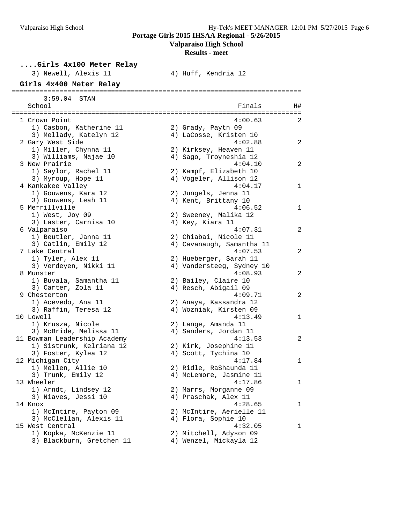**....Girls 4x100 Meter Relay**

**Portage Girls 2015 IHSAA Regional - 5/26/2015**

**Valparaiso High School**

| 3) Newell, Alexis 11                       | 4) Huff, Kendria 12                       |    |
|--------------------------------------------|-------------------------------------------|----|
| Girls 4x400 Meter Relay                    |                                           |    |
| 3:59.04<br>STAN                            |                                           |    |
| School                                     | Finals                                    | H# |
|                                            |                                           |    |
| 1 Crown Point                              | 4:00.63                                   | 2  |
| 1) Casbon, Katherine 11                    | 2) Grady, Paytn 09                        |    |
| 3) Mellady, Katelyn 12                     | 4) LaCosse, Kristen 10                    |    |
| 2 Gary West Side                           | 4:02.88                                   | 2  |
| 1) Miller, Chynna 11                       | 2) Kirksey, Heaven 11                     |    |
| 3) Williams, Najae 10                      | 4) Sago, Troyneshia 12                    |    |
| 3 New Prairie                              | 4:04.10                                   | 2  |
| 1) Saylor, Rachel 11                       | 2) Kampf, Elizabeth 10                    |    |
| 3) Myroup, Hope 11                         | 4) Vogeler, Allison 12                    |    |
| 4 Kankakee Valley                          | 4:04.17                                   | 1  |
| 1) Gouwens, Kara 12                        | 2) Jungels, Jenna 11                      |    |
| 3) Gouwens, Leah 11                        | 4) Kent, Brittany 10                      |    |
| 5 Merrillville<br>1) West, Joy 09          | 4:06.52                                   | 1  |
| 3) Laster, Carnisa 10                      | 2) Sweeney, Malika 12<br>4) Key, Kiara 11 |    |
| 6 Valparaiso                               | 4:07.31                                   | 2  |
| 1) Beutler, Janna 11                       | 2) Chiabai, Nicole 11                     |    |
| 3) Catlin, Emily 12                        | 4) Cavanaugh, Samantha 11                 |    |
| 7 Lake Central                             | 4:07.53                                   | 2  |
| 1) Tyler, Alex 11                          | 2) Hueberger, Sarah 11                    |    |
| 3) Verdeyen, Nikki 11                      | 4) Vandersteeg, Sydney 10                 |    |
| 8 Munster                                  | 4:08.93                                   | 2  |
| 1) Buvala, Samantha 11                     | 2) Bailey, Claire 10                      |    |
| 3) Carter, Zola 11                         | 4) Resch, Abigail 09                      |    |
| 9 Chesterton                               | 4:09.71                                   | 2  |
| 1) Acevedo, Ana 11                         | 2) Anaya, Kassandra 12                    |    |
| 3) Raffin, Teresa 12                       | 4) Wozniak, Kirsten 09                    |    |
| 10 Lowell                                  | 4:13.49                                   | 1  |
| 1) Krusza, Nicole                          | 2) Lange, Amanda 11                       |    |
| 3) McBride, Melissa 11                     | 4) Sanders, Jordan 11                     |    |
| 11 Bowman Leadership Academy               | 4:13.53                                   | 2  |
| 1) Sistrunk, Kelriana 12                   | 2) Kirk, Josephine 11                     |    |
| 3) Foster, Kylea 12                        | 4) Scott, Tychina 10                      |    |
| 12 Michigan City                           | 4:17.84                                   | 1  |
| 1) Mellen, Allie 10                        | 2) Ridle, RaShaunda 11                    |    |
| 3) Trunk, Emily 12                         | 4) McLemore, Jasmine 11                   |    |
| 13 Wheeler                                 | 4:17.86                                   | 1  |
| 1) Arndt, Lindsey 12                       | 2) Marrs, Morganne 09                     |    |
| 3) Niaves, Jessi 10                        | 4) Praschak, Alex 11                      |    |
| 14 Knox                                    | 4:28.65                                   | ı  |
| 1) McIntire, Payton 09                     | 2) McIntire, Aerielle 11                  |    |
| 3) McClellan, Alexis 11<br>15 West Central | 4) Flora, Sophie 10<br>4:32.05            |    |
| 1) Kopka, McKenzie 11                      | 2) Mitchell, Adyson 09                    | 1  |
| 3) Blackburn, Gretchen 11                  | 4) Wenzel, Mickayla 12                    |    |
|                                            |                                           |    |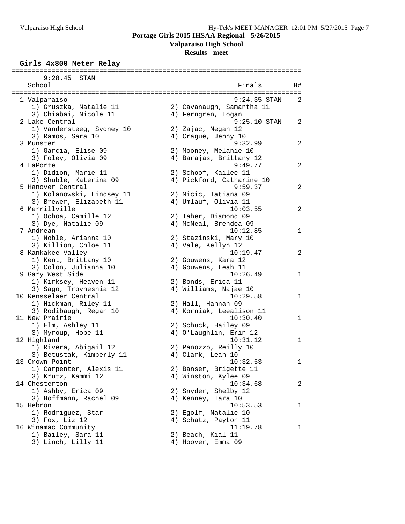**Valparaiso High School**

**Results - meet**

#### **Girls 4x800 Meter Relay**

| 9:28.45<br>STAN                                 |                                   |    |
|-------------------------------------------------|-----------------------------------|----|
| School                                          | Finals                            | H# |
|                                                 |                                   |    |
| 1 Valparaiso                                    | $9:24.35$ STAN                    | 2  |
| 1) Gruszka, Natalie 11                          | 2) Cavanaugh, Samantha 11         |    |
| 3) Chiabai, Nicole 11                           | 4) Ferngren, Logan                |    |
| 2 Lake Central                                  | $9:25.10$ STAN                    | 2  |
| 1) Vandersteeg, Sydney 10                       | 2) Zajac, Megan 12                |    |
| 3) Ramos, Sara 10                               | 4) Crague, Jenny 10               |    |
| 3 Munster                                       | 9:32.99                           | 2  |
| 1) Garcia, Elise 09                             | 2) Mooney, Melanie 10             |    |
| 3) Foley, Olivia 09                             | 4) Barajas, Brittany 12           |    |
| 4 LaPorte                                       | 9:49.77                           | 2  |
| 1) Didion, Marie 11                             | 2) Schoof, Kailee 11              |    |
| 3) Shuble, Katerina 09                          | 4) Pickford, Catharine 10         |    |
| 5 Hanover Central                               | 9:59.37                           | 2  |
| 1) Kolanowski, Lindsey 11                       | 2) Micic, Tatiana 09              |    |
| 3) Brewer, Elizabeth 11                         | 4) Umlauf, Olivia 11              |    |
| 6 Merrillville                                  | 10:03.55                          | 2  |
| 1) Ochoa, Camille 12                            | 2) Taher, Diamond 09              |    |
| 3) Dye, Natalie 09                              | 4) McNeal, Brendea 09             |    |
| 7 Andrean                                       | 10:12.85                          | 1  |
| 1) Noble, Arianna 10                            | 2) Stazinski, Mary 10             |    |
| 3) Killion, Chloe 11                            | 4) Vale, Kellyn 12                |    |
| 8 Kankakee Valley                               | 10:19.47                          | 2  |
| 1) Kent, Brittany 10                            | 2) Gouwens, Kara 12               |    |
| 3) Colon, Julianna 10                           | 4) Gouwens, Leah 11<br>10:26.49   |    |
| 9 Gary West Side                                | 2) Bonds, Erica 11                | 1  |
| 1) Kirksey, Heaven 11                           |                                   |    |
| 3) Sago, Troyneshia 12<br>10 Rensselaer Central | 4) Williams, Najae 10<br>10:29.58 | 1  |
| 1) Hickman, Riley 11                            | 2) Hall, Hannah 09                |    |
|                                                 | 4) Korniak, Leealison 11          |    |
| 3) Rodibaugh, Regan 10<br>11 New Prairie        | 10:30.40                          | 1  |
| 1) Elm, Ashley 11                               | 2) Schuck, Hailey 09              |    |
| 3) Myroup, Hope 11                              | 4) O'Laughlin, Erin 12            |    |
| 12 Highland                                     | 10:31.12                          | 1  |
| 1) Rivera, Abigail 12                           | 2) Panozzo, Reilly 10             |    |
| 3) Betustak, Kimberly 11                        | 4) Clark, Leah 10                 |    |
| 13 Crown Point                                  | 10:32.53                          | 1  |
| 1) Carpenter, Alexis 11                         | 2) Banser, Brigette 11            |    |
| 3) Krutz, Kammi 12                              | 4) Winston, Kylee 09              |    |
| 14 Chesterton                                   | 10:34.68                          | 2  |
| 1) Ashby, Erica 09                              | 2) Snyder, Shelby 12              |    |
| 3) Hoffmann, Rachel 09                          | 4) Kenney, Tara 10                |    |
| 15 Hebron                                       | 10:53.53                          | 1  |
| 1) Rodriguez, Star                              | 2) Egolf, Natalie 10              |    |
| 3) Fox, Liz 12                                  | 4) Schatz, Payton 11              |    |
| 16 Winamac Community                            | 11:19.78                          | 1  |
| 1) Bailey, Sara 11                              | 2) Beach, Kial 11                 |    |
| 3) Linch, Lilly 11                              | 4) Hoover, Emma 09                |    |
|                                                 |                                   |    |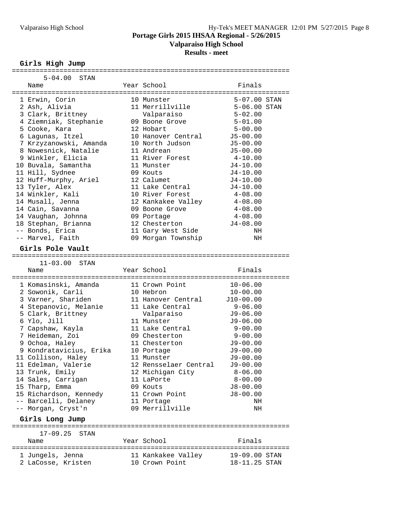**Valparaiso High School**

#### **Results - meet**

# **Girls High Jump**

| $5 - 04.00$<br>STAN                    |                                      |                                       |  |
|----------------------------------------|--------------------------------------|---------------------------------------|--|
| Name                                   | Year School                          | Finals                                |  |
|                                        |                                      |                                       |  |
| 1 Erwin, Corin                         | 10 Munster                           | 5-07.00 STAN                          |  |
| 2 Ash, Alivia                          | 11 Merrillville                      | 5-06.00 STAN                          |  |
| 3 Clark, Brittney                      | Valparaiso                           | $5 - 02.00$                           |  |
| 4 Ziemniak, Stephanie                  | 09 Boone Grove                       | $5 - 01.00$                           |  |
| 5 Cooke, Kara                          | 12 Hobart                            | $5 - 00.00$                           |  |
| 6 Lagunas, Itzel                       | 10 Hanover Central                   | $J5 - 00.00$                          |  |
| 7 Krzyzanowski, Amanda                 | 10 North Judson                      | $J5 - 00.00$                          |  |
| 8 Nowesnick, Natalie                   | 11 Andrean                           | $J5 - 00.00$                          |  |
| 9 Winkler, Elicia                      | 11 River Forest                      | $4 - 10.00$                           |  |
| 10 Buvala, Samantha                    | 11 Munster                           | $J4-10.00$                            |  |
| 11 Hill, Sydnee                        | 09 Kouts                             | $J4-10.00$                            |  |
| 12 Huff-Murphy, Ariel                  | 12 Calumet                           | $J4-10.00$                            |  |
| 13 Tyler, Alex                         | 11 Lake Central                      | $J4-10.00$                            |  |
| 14 Winkler, Kali                       | 10 River Forest                      | $4\negmedspace-\negmedspace08$ . $00$ |  |
| 14 Musall, Jenna                       | 12 Kankakee Valley                   | $4 - 08.00$                           |  |
| 14 Cain, Savanna                       | 09 Boone Grove                       | $4 - 08.00$                           |  |
| 14 Vaughan, Johnna                     | 09 Portage                           | $4 - 08.00$                           |  |
| 18 Stephan, Brianna                    | 12 Chesterton                        | $J4 - 08.00$                          |  |
| -- Bonds, Erica                        | 11 Gary West Side                    | ΝH                                    |  |
| -- Marvel, Faith                       | 09 Morgan Township                   | ΝH                                    |  |
|                                        |                                      |                                       |  |
| Girls Pole Vault                       |                                      |                                       |  |
|                                        |                                      |                                       |  |
| 11-03.00<br>STAN                       |                                      |                                       |  |
| Name                                   | Year School                          | Finals                                |  |
|                                        |                                      |                                       |  |
| 1 Komasinski, Amanda                   | 11 Crown Point                       | $10 - 06.00$                          |  |
| 2 Sowonik, Carli                       | 10 Hebron                            | $10 - 00.00$                          |  |
| 3 Varner, Shariden                     | 11 Hanover Central                   | $J10-00.00$                           |  |
| 4 Stepanovic, Melanie                  | 11 Lake Central                      |                                       |  |
| 5 Clark, Brittney                      |                                      | $9 - 06.00$                           |  |
|                                        |                                      | J9-06.00                              |  |
|                                        | Valparaiso<br>11 Munster             |                                       |  |
| 6 Ylo, Jill                            | 11 Lake Central                      | J9-06.00                              |  |
| 7 Capshaw, Kayla                       | 09 Chesterton                        | 9-00.00                               |  |
| 7 Heideman, Zoi                        |                                      | $9 - 00.00$                           |  |
| 9 Ochoa, Haley                         | 11 Chesterton                        | $J9-00.00$                            |  |
| 9 Kondratavicius, Erika                | 10 Portage                           | $J9-00.00$                            |  |
| 11 Collison, Haley                     | 11 Munster                           | J9-00.00                              |  |
| 11 Edelman, Valerie                    | 12 Rensselaer Central                | J9-00.00                              |  |
| 13 Trunk, Emily                        | 12 Michigan City                     | $8 - 06.00$                           |  |
| 14 Sales, Carrigan                     | 11 LaPorte                           | $8 - 00.00$                           |  |
| 15 Tharp, Emma                         | 09 Kouts                             | $J8 - 00.00$                          |  |
| 15 Richardson, Kennedy                 | 11 Crown Point                       | $J8 - 00.00$                          |  |
| -- Barcelli, Delaney                   | 11 Portage                           | ΝH                                    |  |
| -- Morgan, Cryst'n                     | 09 Merrillville                      | ΝH                                    |  |
| Girls Long Jump                        |                                      |                                       |  |
| $17-09.25$ STAN                        |                                      |                                       |  |
| Name                                   | Year School                          | Finals                                |  |
|                                        |                                      |                                       |  |
| 1 Jungels, Jenna<br>2 LaCosse, Kristen | 11 Kankakee Valley<br>10 Crown Point | 19-09.00 STAN<br>18-11.25 STAN        |  |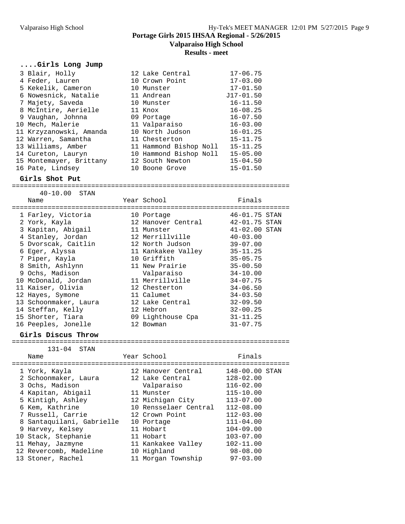**Valparaiso High School**

# **Results - meet**

## **....Girls Long Jump**

| 3 Blair, Holly          | 12 Lake Central        | $17 - 06.75$  |
|-------------------------|------------------------|---------------|
| 4 Feder, Lauren         | 10 Crown Point         | $17 - 03.00$  |
| 5 Kekelik, Cameron      | 10 Munster             | $17 - 01.50$  |
| 6 Nowesnick, Natalie    | 11 Andrean             | $J17 - 01.50$ |
| 7 Majety, Saveda        | 10 Munster             | $16 - 11.50$  |
| 8 McIntire, Aerielle    | 11 Knox                | $16 - 08.25$  |
| 9 Vaughan, Johnna       | 09 Portage             | $16 - 07.50$  |
| 10 Mech, Malerie        | 11 Valparaiso          | $16 - 03.00$  |
| 11 Krzyzanowski, Amanda | 10 North Judson        | $16 - 01.25$  |
| 12 Warren, Samantha     | 11 Chesterton          | $15 - 11.75$  |
| 13 Williams, Amber      | 11 Hammond Bishop Noll | $15 - 11.25$  |
| 14 Cureton, Lauryn      | 10 Hammond Bishop Noll | $15 - 05.00$  |
| 15 Montemayer, Brittany | 12 South Newton        | $15 - 04.50$  |
| 16 Pate, Lindsey        | 10 Boone Grove         | $15 - 01.50$  |

# **Girls Shot Put**

====================================================================== 40-10.00 STAN

| Name                  | Year School<br>----------- | Finals        |  |
|-----------------------|----------------------------|---------------|--|
| 1 Farley, Victoria    | 10 Portage                 | 46-01.75 STAN |  |
| 2 York, Kayla         | 12 Hanover Central         | 42-01.75 STAN |  |
| 3 Kapitan, Abigail    | 11 Munster                 | 41-02.00 STAN |  |
| 4 Stanley, Jordan     | 12 Merrillville            | $40 - 03.00$  |  |
| 5 Dvorscak, Caitlin   | 12 North Judson            | $39 - 07.00$  |  |
| 6 Eqer, Alyssa        | 11 Kankakee Valley         | $35 - 11.25$  |  |
| 7 Piper, Kayla        | 10 Griffith                | $35 - 05.75$  |  |
| 8 Smith, Ashlynn      | 11 New Prairie             | $35 - 00.50$  |  |
| 9 Ochs, Madison       | Valparaiso                 | $34 - 10.00$  |  |
| 10 McDonald, Jordan   | 11 Merrillville            | $34 - 07.75$  |  |
| 11 Kaiser, Olivia     | 12 Chesterton              | $34 - 06.50$  |  |
| 12 Hayes, Symone      | 11 Calumet                 | $34 - 03.50$  |  |
| 13 Schoonmaker, Laura | 12 Lake Central            | $32 - 09.50$  |  |
| 14 Steffan, Kelly     | 12 Hebron                  | $32 - 00.25$  |  |
| 15 Shorter, Tiara     | 09 Lighthouse Cpa          | $31 - 11.25$  |  |
| 16 Peeples, Jonelle   | 12 Bowman                  | $31 - 07.75$  |  |
|                       |                            |               |  |

# **Girls Discus Throw**

====================================================================== 131-04 STAN

| Name                      | Year School           | Finals         |
|---------------------------|-----------------------|----------------|
| 1 York, Kayla             | 12 Hanover Central    | 148-00.00 STAN |
| 2 Schoonmaker, Laura      | 12 Lake Central       | $128 - 02.00$  |
| 3 Ochs, Madison           | Valparaiso            | $116 - 02.00$  |
| 4 Kapitan, Abiqail        | 11 Munster            | $115 - 10.00$  |
| 5 Kintigh, Ashley         | 12 Michigan City      | $113 - 07.00$  |
| 6 Kem, Kathrine           | 10 Rensselaer Central | $112 - 08.00$  |
| 7 Russell, Carrie         | 12 Crown Point        | $112 - 03.00$  |
| 8 Santaquilani, Gabrielle | 10 Portage            | $111 - 04.00$  |
| 9 Harvey, Kelsey          | 11 Hobart             | $104 - 09.00$  |
| 10 Stack, Stephanie       | 11 Hobart             | $103 - 07.00$  |
| 11 Mehay, Jazmyne         | 11 Kankakee Valley    | $102 - 11.00$  |
| 12 Revercomb, Madeline    | 10 Highland           | $98 - 08.00$   |
| 13 Stoner, Rachel         | 11 Morgan Township    | $97 - 03.00$   |